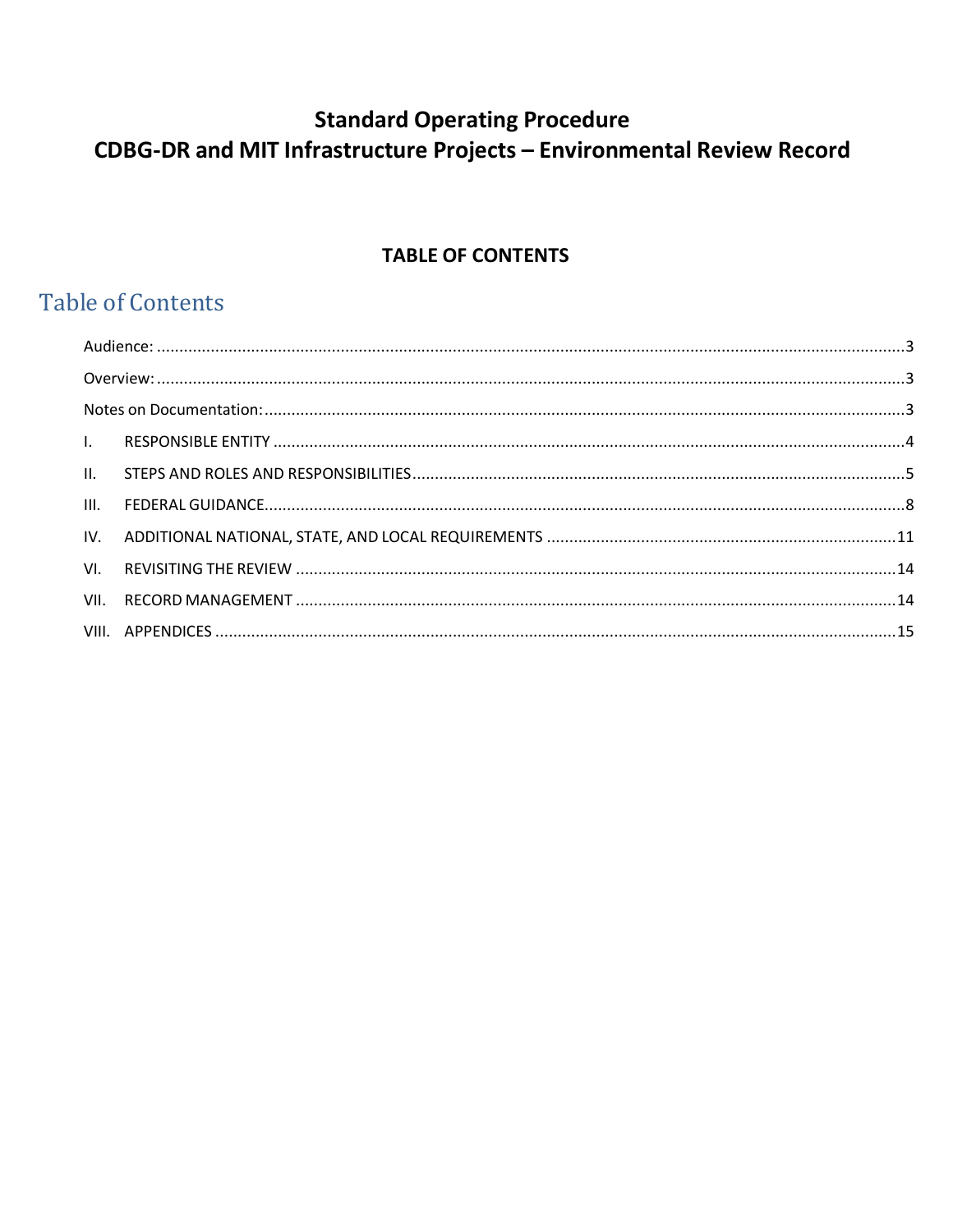# **TABLE OF CONTENTS**

# **Table of Contents**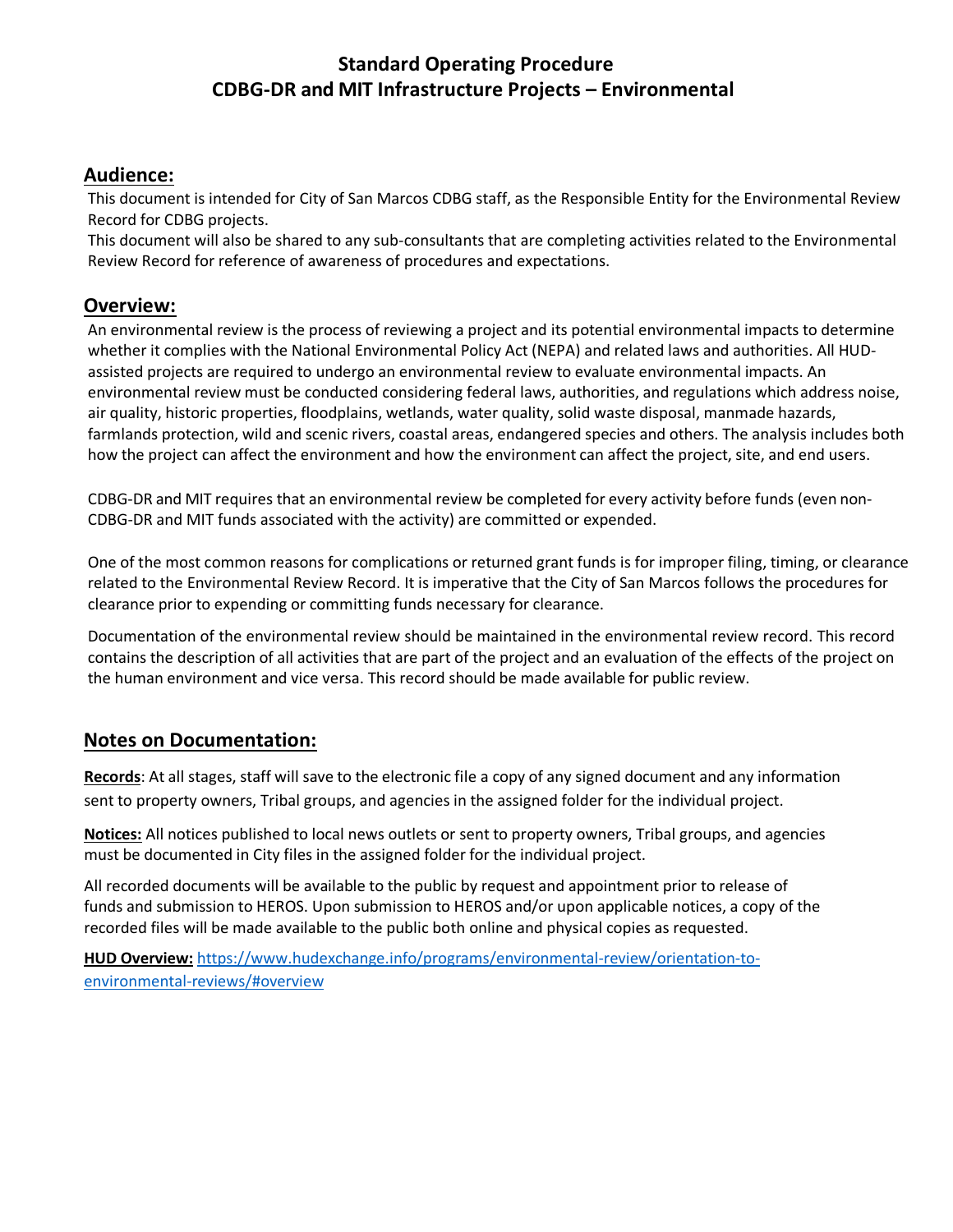#### <span id="page-2-0"></span>**Audience:**

This document is intended for City of San Marcos CDBG staff, as the Responsible Entity for the Environmental Review Record for CDBG projects.

This document will also be shared to any sub-consultants that are completing activities related to the Environmental Review Record for reference of awareness of procedures and expectations.

#### <span id="page-2-1"></span>**Overview:**

An environmental review is the process of reviewing a project and its potential environmental impacts to determine whether it complies with the National Environmental Policy Act (NEPA) and related laws and authorities. All HUDassisted projects are required to undergo an environmental review to evaluate environmental impacts. An environmental review must be conducted considering federal laws, authorities, and regulations which address noise, air quality, historic properties, floodplains, wetlands, water quality, solid waste disposal, manmade hazards, farmlands protection, wild and scenic rivers, coastal areas, endangered species and others. The analysis includes both how the project can affect the environment and how the environment can affect the project, site, and end users.

CDBG-DR and MIT requires that an environmental review be completed for every activity before funds (even non-CDBG-DR and MIT funds associated with the activity) are committed or expended.

One of the most common reasons for complications or returned grant funds is for improper filing, timing, or clearance related to the Environmental Review Record. It is imperative that the City of San Marcos follows the procedures for clearance prior to expending or committing funds necessary for clearance.

Documentation of the environmental review should be maintained in the environmental review record. This record contains the description of all activities that are part of the project and an evaluation of the effects of the project on the human environment and vice versa. This record should be made available for public review.

### <span id="page-2-2"></span>**Notes on Documentation:**

**Records**: At all stages, staff will save to the electronic file a copy of any signed document and any information sent to property owners, Tribal groups, and agencies in the assigned folder for the individual project.

**Notices:** All notices published to local news outlets or sent to property owners, Tribal groups, and agencies must be documented in City files in the assigned folder for the individual project.

All recorded documents will be available to the public by request and appointment prior to release of funds and submission to HEROS. Upon submission to HEROS and/or upon applicable notices, a copy of the recorded files will be made available to the public both online and physical copies as requested.

**HUD Overview:** [https://www.hudexchange.info/programs/environmental-review/orientation-to](https://www.hudexchange.info/programs/environmental-review/orientation-to-environmental-reviews/#overview)[environmental-reviews/#overview](https://www.hudexchange.info/programs/environmental-review/orientation-to-environmental-reviews/#overview)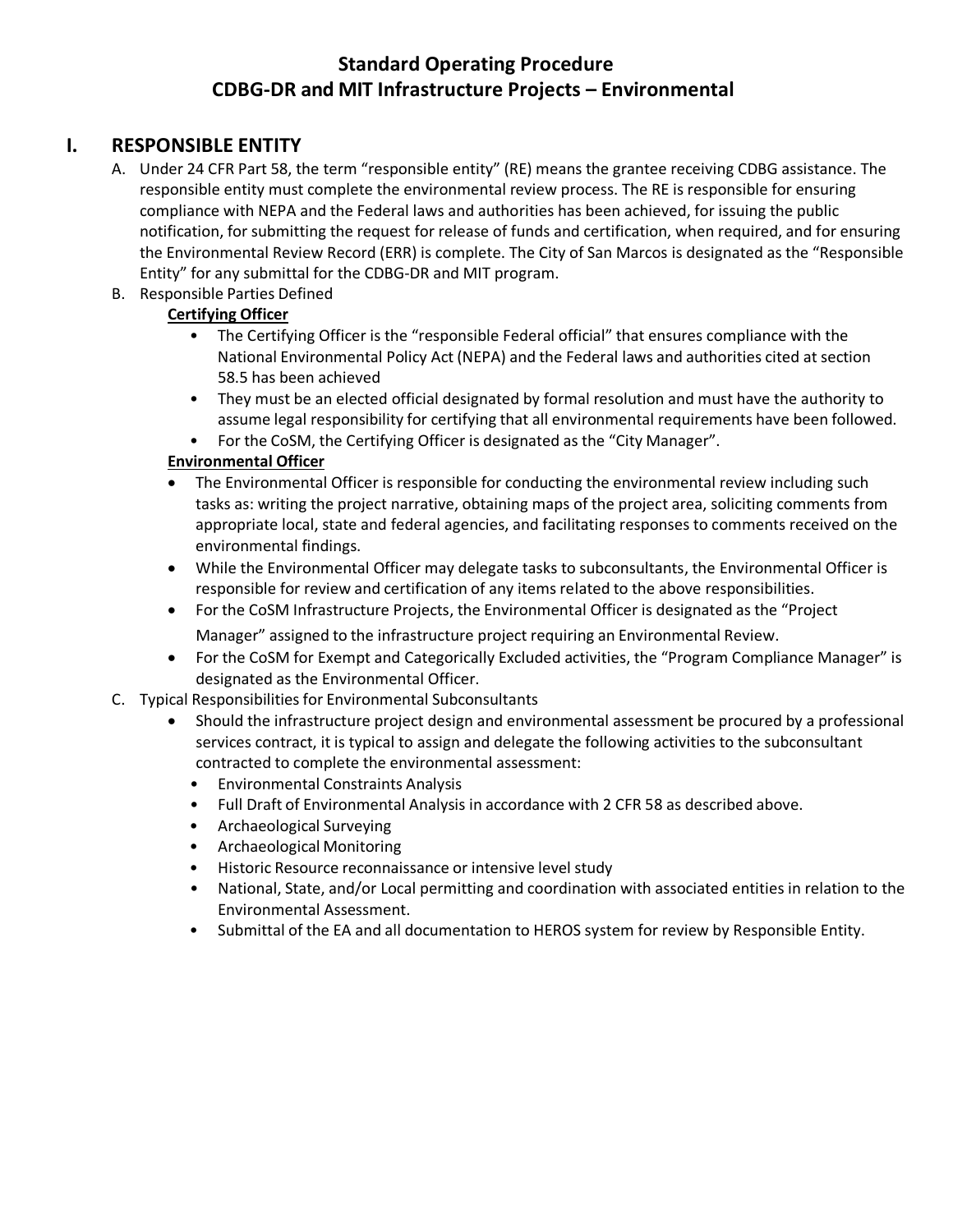### <span id="page-3-0"></span>**I. RESPONSIBLE ENTITY**

- A. Under 24 CFR Part 58, the term "responsible entity" (RE) means the grantee receiving CDBG assistance. The responsible entity must complete the environmental review process. The RE is responsible for ensuring compliance with NEPA and the Federal laws and authorities has been achieved, for issuing the public notification, for submitting the request for release of funds and certification, when required, and for ensuring the Environmental Review Record (ERR) is complete. The City of San Marcos is designated as the "Responsible Entity" for any submittal for the CDBG-DR and MIT program.
- B. Responsible Parties Defined

#### **Certifying Officer**

- The Certifying Officer is the "responsible Federal official" that ensures compliance with the National Environmental Policy Act (NEPA) and the Federal laws and authorities cited at section 58.5 has been achieved
- They must be an elected official designated by formal resolution and must have the authority to assume legal responsibility for certifying that all environmental requirements have been followed.
- For the CoSM, the Certifying Officer is designated as the "City Manager".

#### **Environmental Officer**

- The Environmental Officer is responsible for conducting the environmental review including such tasks as: writing the project narrative, obtaining maps of the project area, soliciting comments from appropriate local, state and federal agencies, and facilitating responses to comments received on the environmental findings.
- While the Environmental Officer may delegate tasks to subconsultants, the Environmental Officer is responsible for review and certification of any items related to the above responsibilities.
- For the CoSM Infrastructure Projects, the Environmental Officer is designated as the "Project Manager" assigned to the infrastructure project requiring an Environmental Review.
- For the CoSM for Exempt and Categorically Excluded activities, the "Program Compliance Manager" is designated as the Environmental Officer.
- C. Typical Responsibilities for Environmental Subconsultants
	- Should the infrastructure project design and environmental assessment be procured by a professional services contract, it is typical to assign and delegate the following activities to the subconsultant contracted to complete the environmental assessment:
		- Environmental Constraints Analysis
		- Full Draft of Environmental Analysis in accordance with 2 CFR 58 as described above.
		- Archaeological Surveying
		- Archaeological Monitoring
		- Historic Resource reconnaissance or intensive level study
		- National, State, and/or Local permitting and coordination with associated entities in relation to the Environmental Assessment.
		- Submittal of the EA and all documentation to HEROS system for review by Responsible Entity.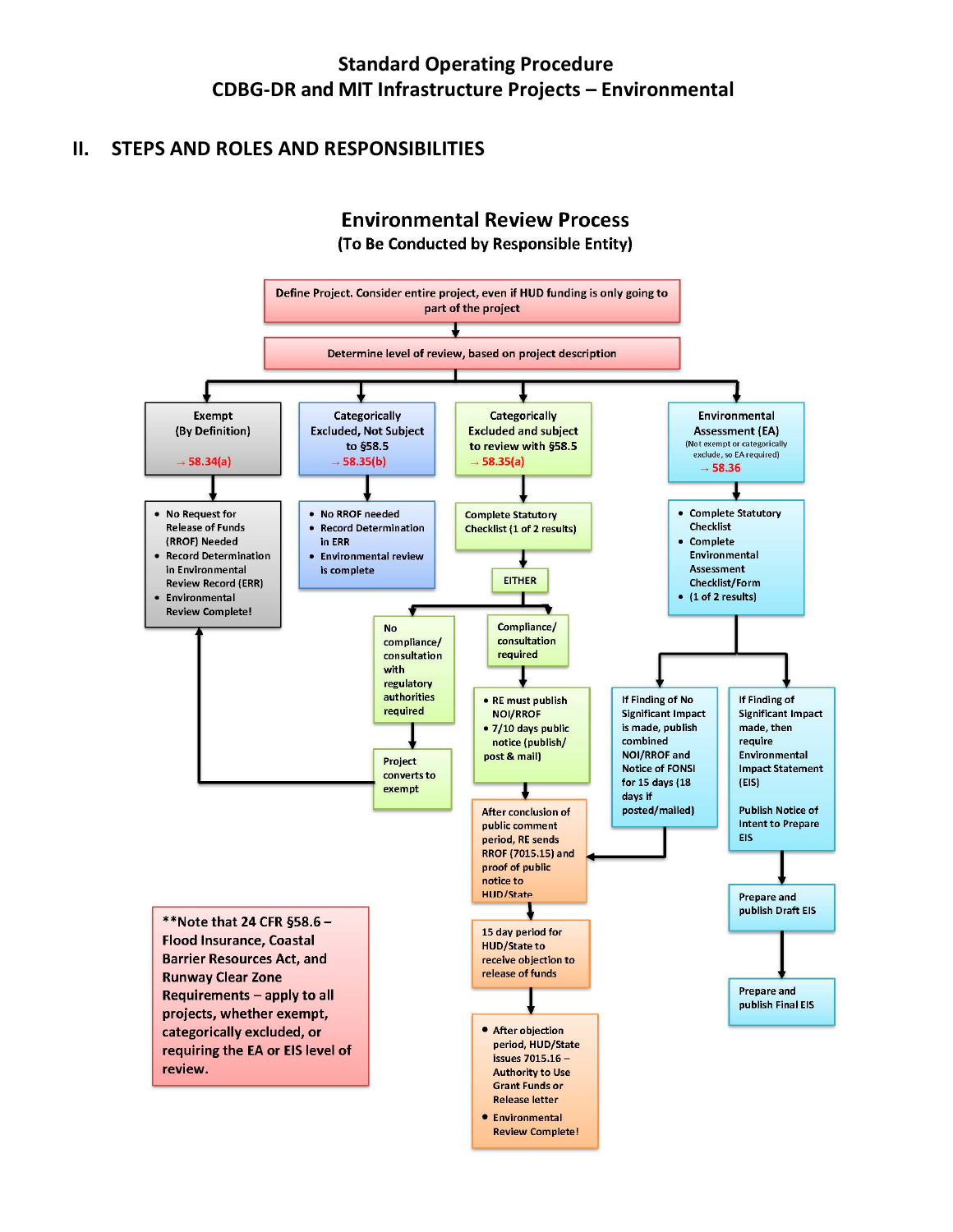## <span id="page-4-0"></span>**II. STEPS AND ROLES AND RESPONSIBILITIES**

## **Environmental Review Process** (To Be Conducted by Responsible Entity)

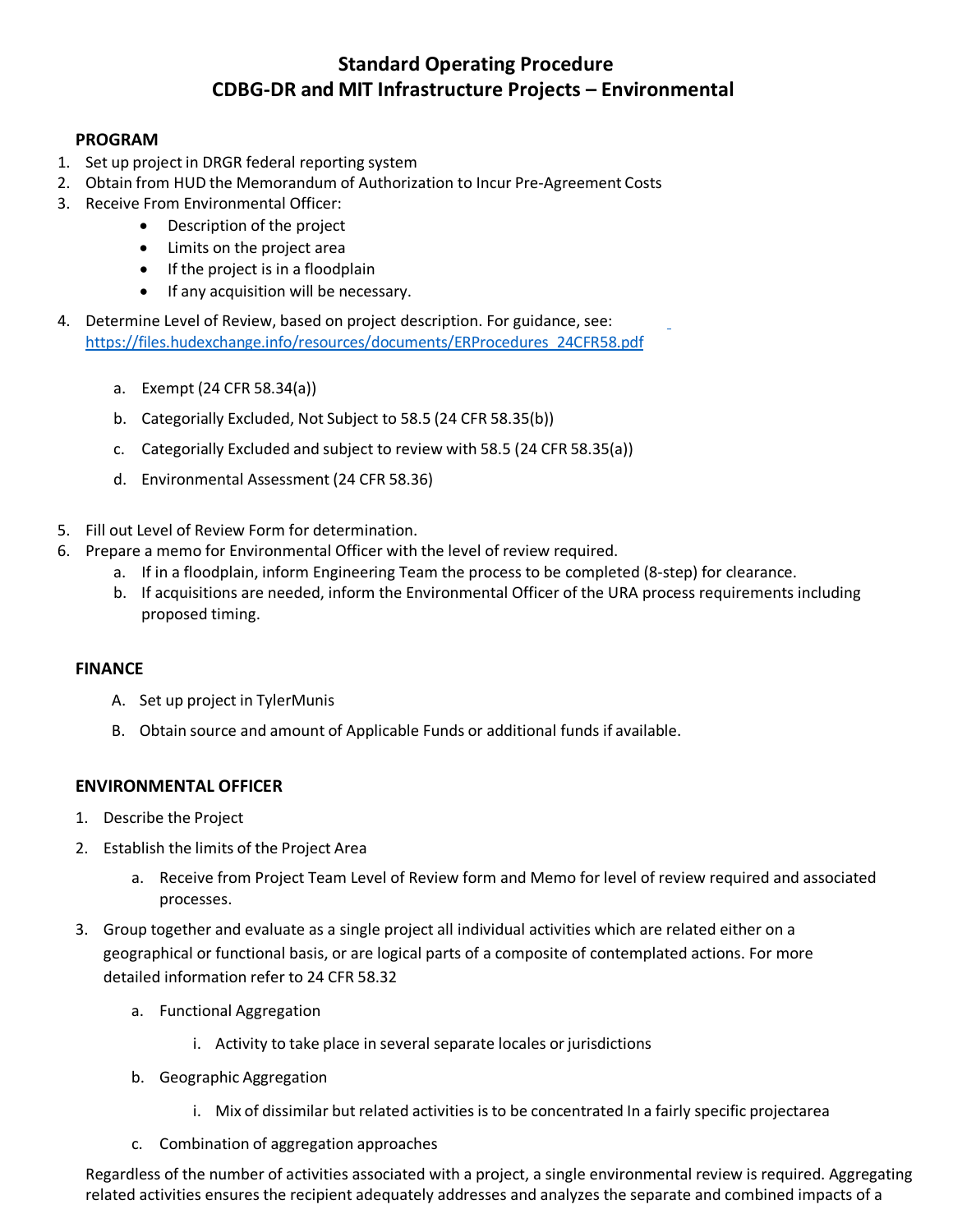#### **PROGRAM**

- 1. Set up project in DRGR federal reporting system
- 2. Obtain from HUD the Memorandum of Authorization to Incur Pre-Agreement Costs
- 3. Receive From Environmental Officer:
	- Description of the project
	- Limits on the project area
	- If the project is in a floodplain
	- If any acquisition will be necessary.
- 4. Determine Level of Review, based on project description. For guidance, see: [https://files.hudexchange.info/resources/documents/ERProcedures\\_24CFR58.pdf](https://files.hudexchange.info/resources/documents/ERProcedures_24CFR58.pdf)
	- a. Exempt (24 CFR 58.34(a))
	- b. Categorially Excluded, Not Subject to 58.5 (24 CFR 58.35(b))
	- c. Categorially Excluded and subject to review with 58.5 (24 CFR 58.35(a))
	- d. Environmental Assessment (24 CFR 58.36)
- 5. Fill out Level of Review Form for determination.
- 6. Prepare a memo for Environmental Officer with the level of review required.
	- a. If in a floodplain, inform Engineering Team the process to be completed (8-step) for clearance.
	- b. If acquisitions are needed, inform the Environmental Officer of the URA process requirements including proposed timing.

#### **FINANCE**

- A. Set up project in TylerMunis
- B. Obtain source and amount of Applicable Funds or additional funds if available.

#### **ENVIRONMENTAL OFFICER**

- 1. Describe the Project
- 2. Establish the limits of the Project Area
	- a. Receive from Project Team Level of Review form and Memo for level of review required and associated processes.
- 3. Group together and evaluate as a single project all individual activities which are related either on a geographical or functional basis, or are logical parts of a composite of contemplated actions. For more detailed information refer to 24 CFR 58.32
	- a. Functional Aggregation
		- i. Activity to take place in several separate locales or jurisdictions
	- b. Geographic Aggregation
		- i. Mix of dissimilar but related activities is to be concentrated In a fairly specific projectarea
	- c. Combination of aggregation approaches

Regardless of the number of activities associated with a project, a single environmental review is required. Aggregating related activities ensures the recipient adequately addresses and analyzes the separate and combined impacts of a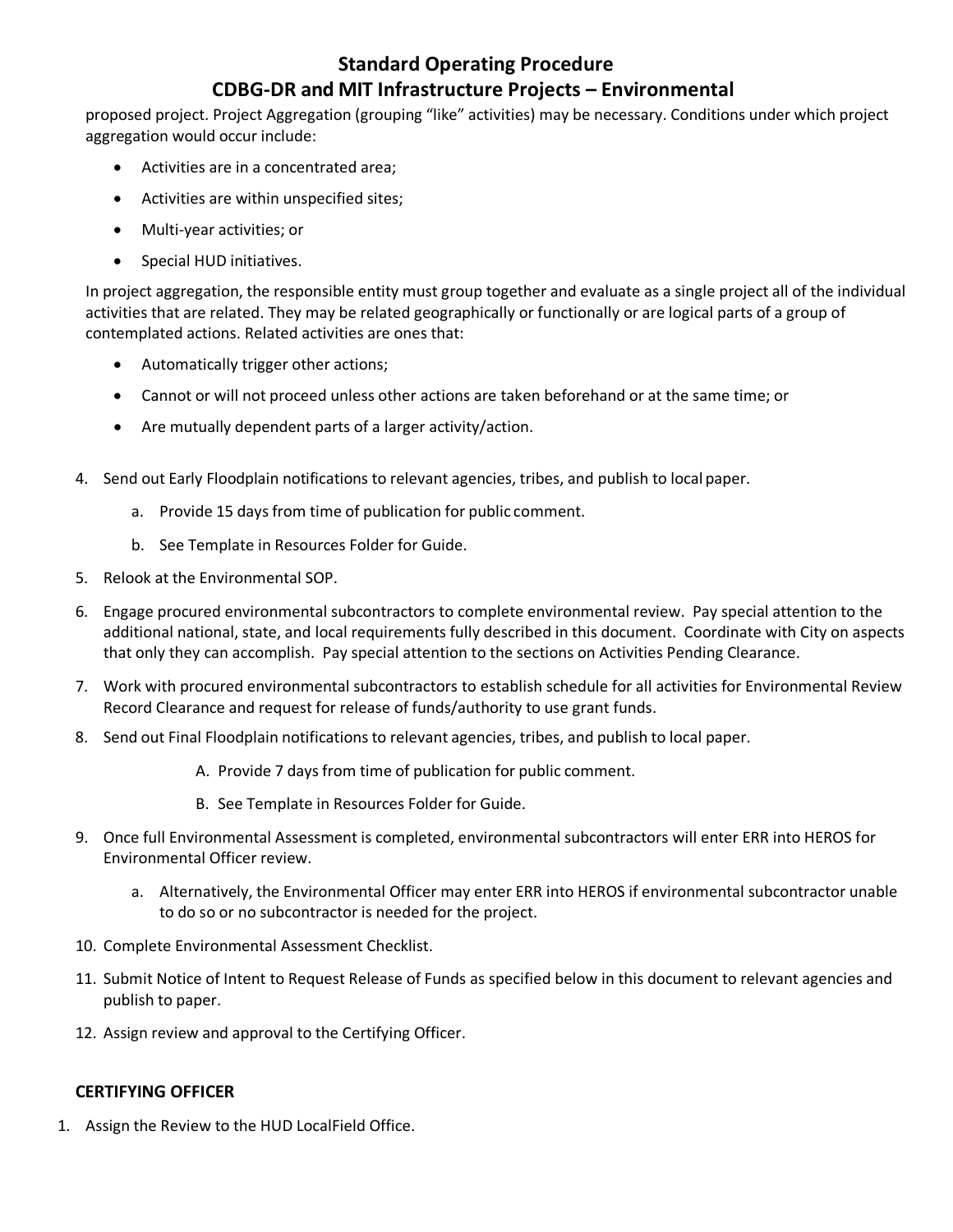## **Standard Operating Procedure**

### **CDBG-DR and MIT Infrastructure Projects – Environmental**

proposed project. Project Aggregation (grouping "like" activities) may be necessary. Conditions under which project aggregation would occur include:

- Activities are in a concentrated area;
- Activities are within unspecified sites;
- Multi-year activities; or
- Special HUD initiatives.

In project aggregation, the responsible entity must group together and evaluate as a single project all of the individual activities that are related. They may be related geographically or functionally or are logical parts of a group of contemplated actions. Related activities are ones that:

- Automatically trigger other actions;
- Cannot or will not proceed unless other actions are taken beforehand or at the same time; or
- Are mutually dependent parts of a larger activity/action.
- 4. Send out Early Floodplain notifications to relevant agencies, tribes, and publish to local paper.
	- a. Provide 15 days from time of publication for public comment.
	- b. See Template in Resources Folder for Guide.
- 5. Relook at the Environmental SOP.
- 6. Engage procured environmental subcontractors to complete environmental review. Pay special attention to the additional national, state, and local requirements fully described in this document. Coordinate with City on aspects that only they can accomplish. Pay special attention to the sections on Activities Pending Clearance.
- 7. Work with procured environmental subcontractors to establish schedule for all activities for Environmental Review Record Clearance and request for release of funds/authority to use grant funds.
- 8. Send out Final Floodplain notifications to relevant agencies, tribes, and publish to local paper.
	- A. Provide 7 days from time of publication for public comment.
	- B. See Template in Resources Folder for Guide.
- 9. Once full Environmental Assessment is completed, environmental subcontractors will enter ERR into HEROS for Environmental Officer review.
	- a. Alternatively, the Environmental Officer may enter ERR into HEROS if environmental subcontractor unable to do so or no subcontractor is needed for the project.
- 10. Complete Environmental Assessment Checklist.
- 11. Submit Notice of Intent to Request Release of Funds as specified below in this document to relevant agencies and publish to paper.
- 12. Assign review and approval to the Certifying Officer.

#### **CERTIFYING OFFICER**

1. Assign the Review to the HUD LocalField Office.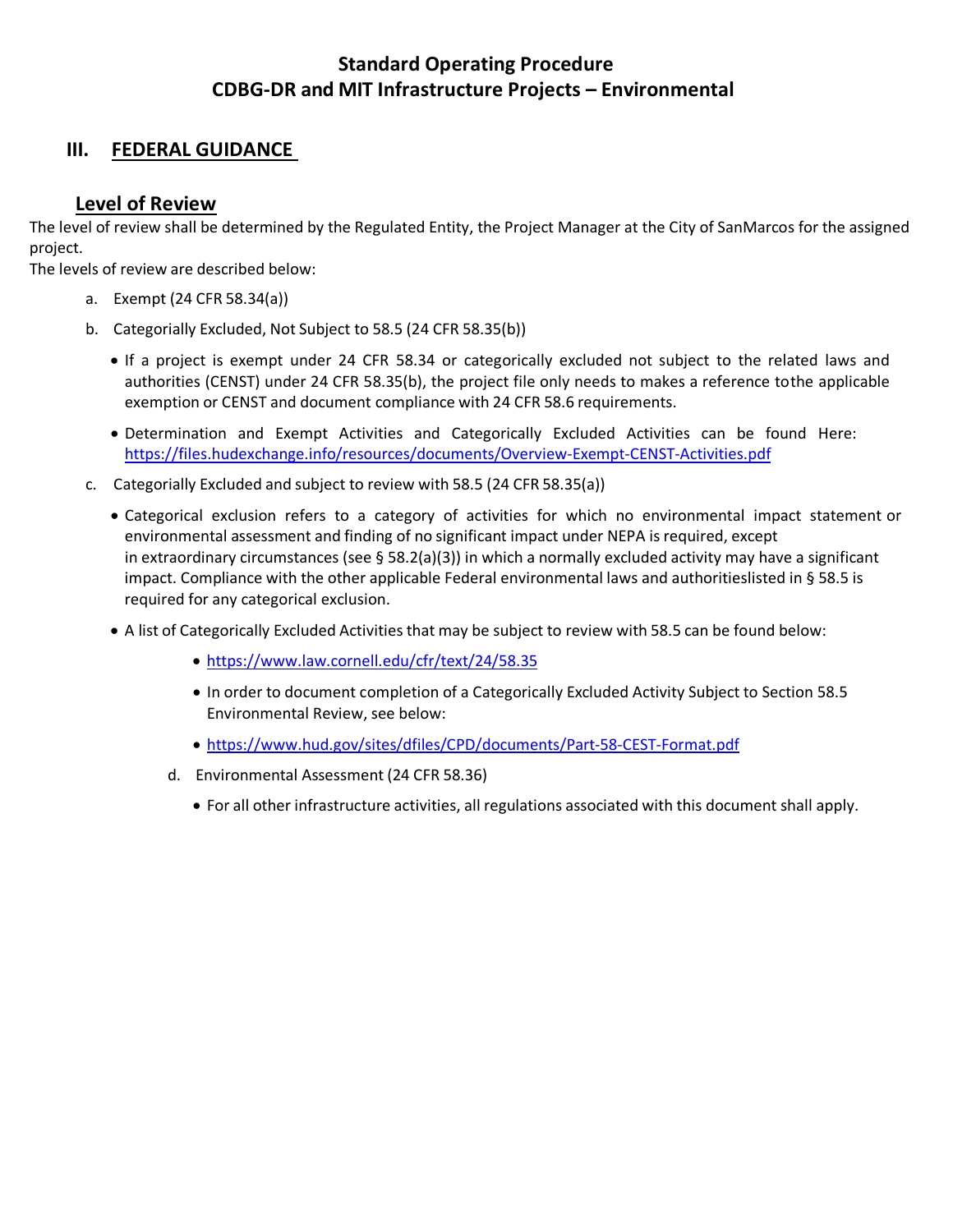#### <span id="page-7-0"></span>**III. FEDERAL GUIDANCE**

#### **Level of Review**

The level of review shall be determined by the Regulated Entity, the Project Manager at the City of SanMarcos for the assigned project.

The levels of review are described below:

- a. Exempt (24 CFR 58.34(a))
- b. Categorially Excluded, Not Subject to 58.5 (24 CFR 58.35(b))
	- If a project is exempt under 24 CFR 58.34 or categorically excluded not subject to the related laws and authorities (CENST) under 24 CFR 58.35(b), the project file only needs to makes a reference tothe applicable exemption or CENST and document compliance with 24 CFR 58.6 requirements.
	- Determination and Exempt Activities and Categorically Excluded Activities can be found Here: <https://files.hudexchange.info/resources/documents/Overview-Exempt-CENST-Activities.pdf>
- c. Categorially Excluded and subject to review with 58.5 (24 CFR 58.35(a))
	- Categorical exclusion refers to a category of activities for which no environmental impact statement or environmental assessment and finding of no significant impact under NEPA is required, except in [extraordinary circumstances \(](https://www.law.cornell.edu/definitions/index.php?width=840&height=800&iframe=true&def_id=3416544f81aa1d5b5678ea5b061fe5b9&term_occur=999&term_src=Title%3A24%3ASubtitle%3AA%3APart%3A58%3ASubpart%3AD%3A58.35)see [§ 58.2\(a\)\(3\)\)](https://www.law.cornell.edu/cfr/text/24/58.2#a_3) in which a normally excluded activity may have a significant impact. Compliance with the other applicable Federal environmental laws and authoritieslisted in § [58.5](https://www.law.cornell.edu/cfr/text/24/58.5) is required for any categorical exclusion.
	- A list of Categorically Excluded Activities that may be subject to review with 58.5 can be found below:
		- <https://www.law.cornell.edu/cfr/text/24/58.35>
		- In order to document completion of a Categorically Excluded Activity Subject to Section 58.5 Environmental Review, see below:
		- <https://www.hud.gov/sites/dfiles/CPD/documents/Part-58-CEST-Format.pdf>
		- d. Environmental Assessment (24 CFR 58.36)
			- For all other infrastructure activities, all regulations associated with this document shall apply.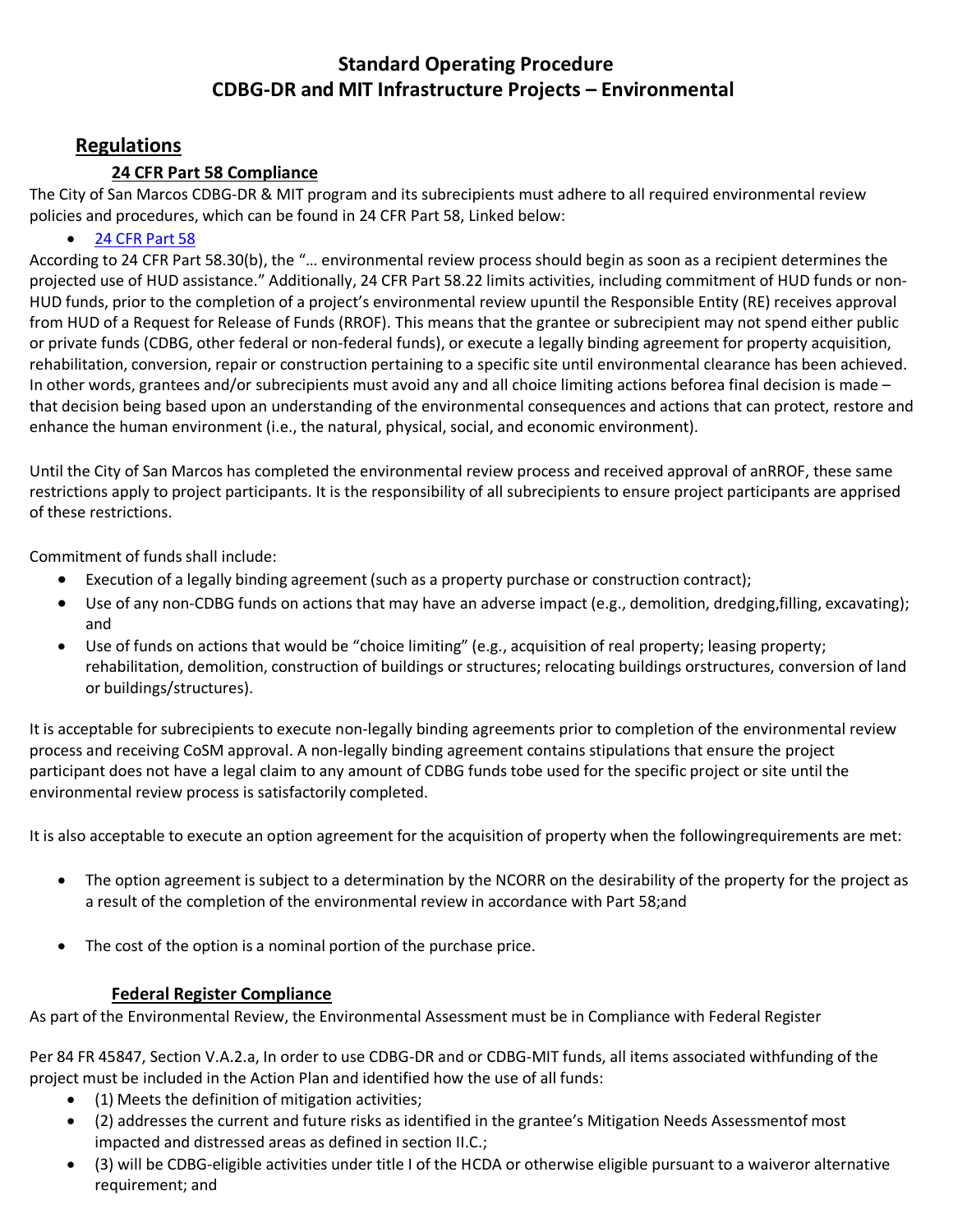## **Regulations**

#### **24 CFR Part 58 Compliance**

The City of San Marcos CDBG-DR & MIT program and its subrecipients must adhere to all required environmental review policies and procedures, which can be found in 24 CFR Part 58, Linked below:

• 24 CFR [Part](https://www.govinfo.gov/content/pkg/CFR-2003-title24-vol1/pdf/CFR-2003-title24-vol1-part58.pdf) 58

According to 24 CFR Part 58.30(b), the "… environmental review process should begin as soon as a recipient determines the projected use of HUD assistance." Additionally, 24 CFR Part 58.22 limits activities, including commitment of HUD funds or non-HUD funds, prior to the completion of a project's environmental review upuntil the Responsible Entity (RE) receives approval from HUD of a Request for Release of Funds (RROF). This means that the grantee or subrecipient may not spend either public or private funds (CDBG, other federal or non-federal funds), or execute a legally binding agreement for property acquisition, rehabilitation, conversion, repair or construction pertaining to a specific site until environmental clearance has been achieved. In other words, grantees and/or subrecipients must avoid any and all choice limiting actions beforea final decision is made – that decision being based upon an understanding of the environmental consequences and actions that can protect, restore and enhance the human environment (i.e., the natural, physical, social, and economic environment).

Until the City of San Marcos has completed the environmental review process and received approval of anRROF, these same restrictions apply to project participants. It is the responsibility of all subrecipients to ensure project participants are apprised of these restrictions.

Commitment of funds shall include:

- Execution of a legally binding agreement (such as a property purchase or construction contract);
- Use of any non-CDBG funds on actions that may have an adverse impact (e.g., demolition, dredging,filling, excavating); and
- Use of funds on actions that would be "choice limiting" (e.g., acquisition of real property; leasing property; rehabilitation, demolition, construction of buildings or structures; relocating buildings orstructures, conversion of land or buildings/structures).

It is acceptable for subrecipients to execute non-legally binding agreements prior to completion of the environmental review process and receiving CoSM approval. A non-legally binding agreement contains stipulations that ensure the project participant does not have a legal claim to any amount of CDBG funds tobe used for the specific project or site until the environmental review process is satisfactorily completed.

It is also acceptable to execute an option agreement for the acquisition of property when the followingrequirements are met:

- The option agreement is subject to a determination by the NCORR on the desirability of the property for the project as a result of the completion of the environmental review in accordance with Part 58;and
- The cost of the option is a nominal portion of the purchase price.

#### **Federal Register Compliance**

As part of the Environmental Review, the Environmental Assessment must be in Compliance with Federal Register

Per 84 FR 45847, Section V.A.2.a, In order to use CDBG-DR and or CDBG-MIT funds, all items associated withfunding of the project must be included in the Action Plan and identified how the use of all funds:

- (1) Meets the definition of mitigation activities;
- (2) addresses the current and future risks as identified in the grantee's Mitigation Needs Assessmentof most impacted and distressed areas as defined in section II.C.;
- (3) will be CDBG-eligible activities under title I of the HCDA or otherwise eligible pursuant to a waiveror alternative requirement; and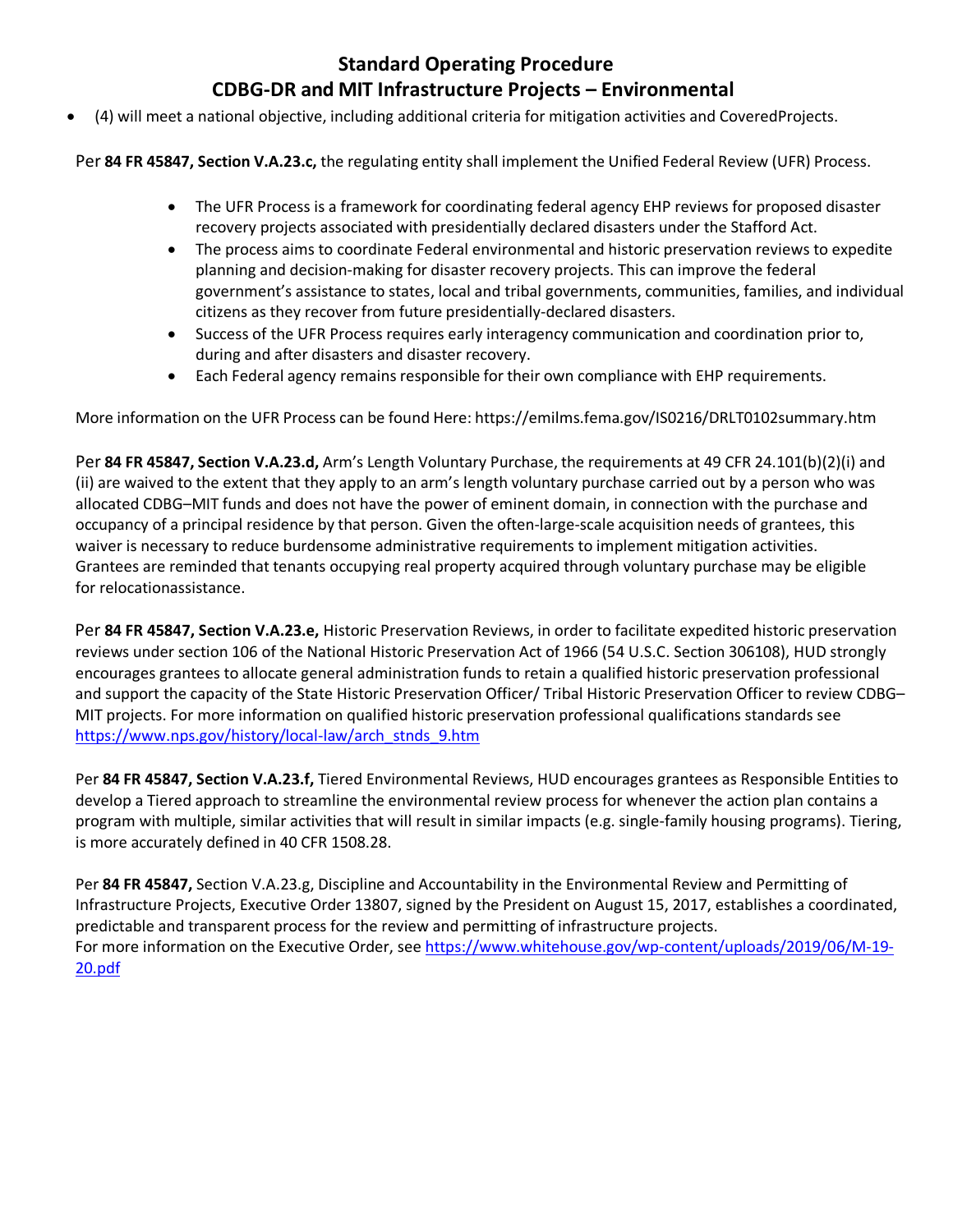• (4) will meet a national objective, including additional criteria for mitigation activities and CoveredProjects.

Per **84 FR 45847, Section V.A.23.c,** the regulating entity shall implement the Unified Federal Review (UFR) Process.

- The UFR Process is a framework for coordinating federal agency EHP reviews for proposed disaster recovery projects associated with presidentially declared disasters under the Stafford Act.
- The process aims to coordinate Federal environmental and historic preservation reviews to expedite planning and decision-making for disaster recovery projects. This can improve the federal government's assistance to states, local and tribal governments, communities, families, and individual citizens as they recover from future presidentially-declared disasters.
- Success of the UFR Process requires early interagency communication and coordination prior to, during and after disasters and disaster recovery.
- Each Federal agency remains responsible for their own compliance with EHP requirements.

More information on the UFR Process can be found Here: <https://emilms.fema.gov/IS0216/DRLT0102summary.htm>

Per **84 FR 45847, Section V.A.23.d,** Arm's Length Voluntary Purchase, the requirements at 49 CFR 24.101(b)(2)(i) and (ii) are waived to the extent that they apply to an arm's length voluntary purchase carried out by a person who was allocated CDBG–MIT funds and does not have the power of eminent domain, in connection with the purchase and occupancy of a principal residence by that person. Given the often-large-scale acquisition needs of grantees, this waiver is necessary to reduce burdensome administrative requirements to implement mitigation activities. Grantees are reminded that tenants occupying real property acquired through voluntary purchase may be eligible for relocationassistance.

Per **84 FR 45847, Section V.A.23.e,** Historic Preservation Reviews, in order to facilitate expedited historic preservation reviews under section 106 of the National Historic Preservation Act of 1966 (54 U.S.C. Section 306108), HUD strongly encourages grantees to allocate general administration funds to retain a qualified historic preservation professional and support the capacity of the State Historic Preservation Officer/ Tribal Historic Preservation Officer to review CDBG– MIT projects. For more information on qualified historic preservation professional qualifications standards see [https://www.nps.gov/history/local-law/arch\\_stnds\\_9.htm](https://www.nps.gov/history/local-law/arch_stnds_9.htm)

Per **84 FR 45847, Section V.A.23.f,** Tiered Environmental Reviews, HUD encourages grantees as Responsible Entities to develop a Tiered approach to streamline the environmental review process for whenever the action plan contains a program with multiple, similar activities that will result in similar impacts (e.g. single-family housing programs). Tiering, is more accurately defined in 40 CFR 1508.28.

Per **84 FR 45847,** Section V.A.23.g, Discipline and Accountability in the Environmental Review and Permitting of Infrastructure Projects, Executive Order 13807, signed by the President on August 15, 2017, establishes a coordinated, predictable and transparent process for the review and permitting of infrastructure projects. For more information on the Executive Order, see [https://www.whitehouse.gov/wp-content/uploads/2019/06/M-19-](https://www.whitehouse.gov/wp-content/uploads/2019/06/M-19-20.pdf) [20.pdf](https://www.whitehouse.gov/wp-content/uploads/2019/06/M-19-20.pdf)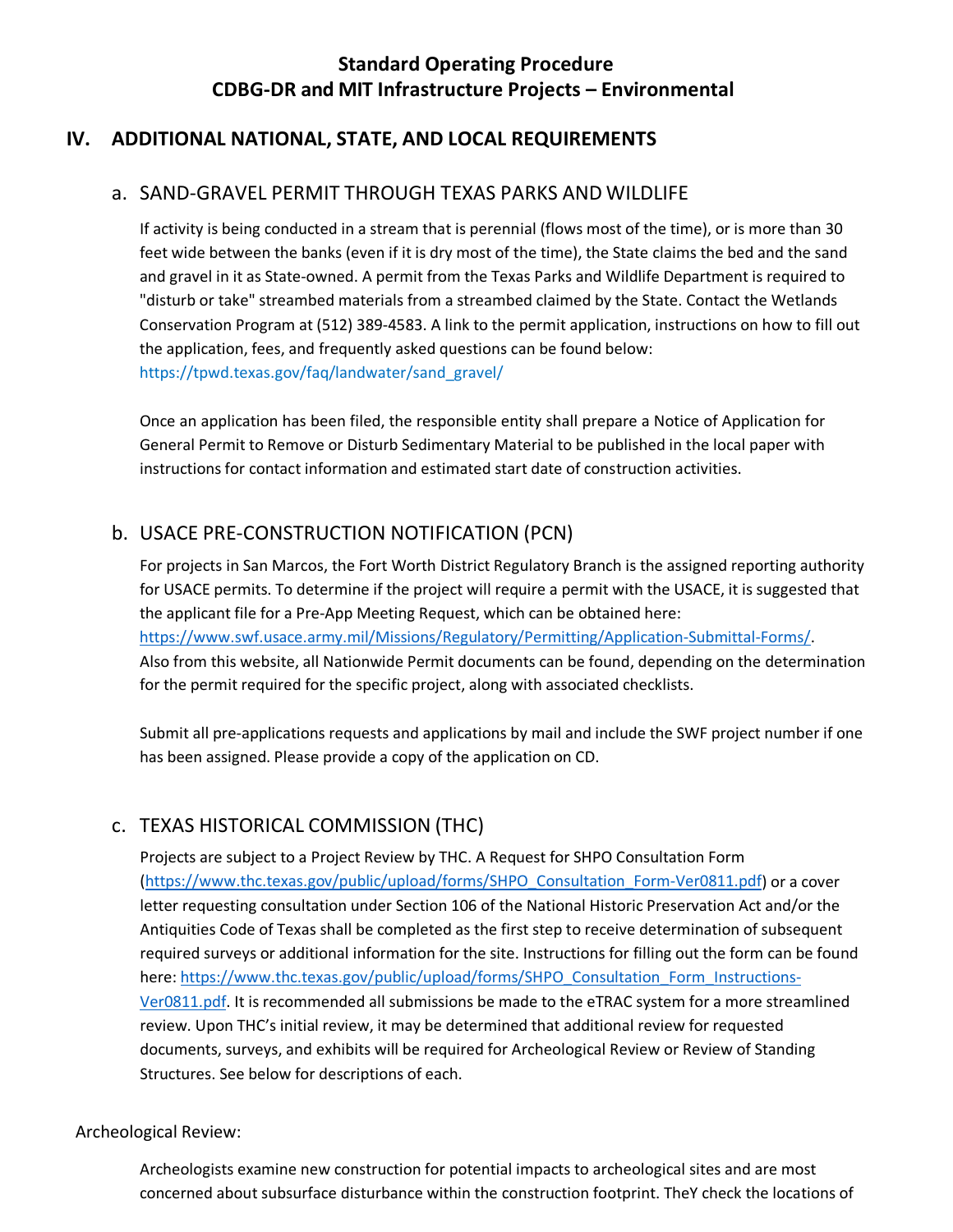## <span id="page-10-0"></span>**IV. ADDITIONAL NATIONAL, STATE, AND LOCAL REQUIREMENTS**

### a. SAND-GRAVEL PERMIT THROUGH TEXAS PARKS AND WILDLIFE

If activity is being conducted in a stream that is perennial (flows most of the time), or is more than 30 feet wide between the banks (even if it is dry most of the time), the State claims the bed and the sand and gravel in it as State-owned. A permit from the Texas Parks and Wildlife Department is required to "disturb or take" streambed materials from a streambed claimed by the State. Contact the Wetlands Conservation Program at (512) 389-4583. A link to the permit application, instructions on how to fill out the application, fees, and frequently asked questions can be found belo[w:](https://tpwd.texas.gov/faq/landwater/sand_gravel/) [https://tpwd.texas.gov/faq/landwater/sand\\_gravel/](https://tpwd.texas.gov/faq/landwater/sand_gravel/)

Once an application has been filed, the responsible entity shall prepare a Notice of Application for General Permit to Remove or Disturb Sedimentary Material to be published in the local paper with instructions for contact information and estimated start date of construction activities.

## b. USACE PRE-CONSTRUCTION NOTIFICATION (PCN)

For projects in San Marcos, the Fort Worth District Regulatory Branch is the assigned reporting authority for USACE permits. To determine if the project will require a permit with the USACE, it is suggested that the applicant file for a Pre-App Meeting Request, which can be obtained here: [https://www.swf.usace.army.mil/Missions/Regulatory/Permitting/Application-Submittal-Forms/.](https://www.swf.usace.army.mil/Missions/Regulatory/Permitting/Application-Submittal-Forms/) Also from this website, all Nationwide Permit documents can be found, depending on the determination for the permit required for the specific project, along with associated checklists.

Submit all pre-applications requests and applications by mail and include the SWF project number if one has been assigned. Please provide a copy of the application on CD.

# c. TEXAS HISTORICAL COMMISSION (THC)

Projects are subject to a Project Review by THC. A Request for SHPO Consultation Form [\(https://www.thc.texas.gov/public/upload/forms/SHPO\\_Consultation\\_Form-Ver0811.pdf\)](https://www.thc.texas.gov/public/upload/forms/SHPO_Consultation_Form-Ver0811.pdf) or a cover letter requesting consultation under Section 106 of the National Historic Preservation Act and/or the Antiquities Code of Texas shall be completed as the first step to receive determination of subsequent required surveys or additional information for the site. Instructions for filling out the form can be found here: [https://www.thc.texas.gov/public/upload/forms/SHPO\\_Consultation\\_Form\\_Instructions-](https://www.thc.texas.gov/public/upload/forms/SHPO_Consultation_Form_Instructions-Ver0811.pdf)[Ver0811.pdf. It](https://www.thc.texas.gov/public/upload/forms/SHPO_Consultation_Form_Instructions-Ver0811.pdf) is recommended all submissions be made to the eTRAC system for a more streamlined review. Upon THC's initial review, it may be determined that additional review for requested documents, surveys, and exhibits will be required for Archeological Review or Review of Standing Structures. See below for descriptions of each.

#### Archeological Review:

Archeologists examine new construction for potential impacts to archeological sites and are most concerned about subsurface disturbance within the construction footprint. TheY check the locations of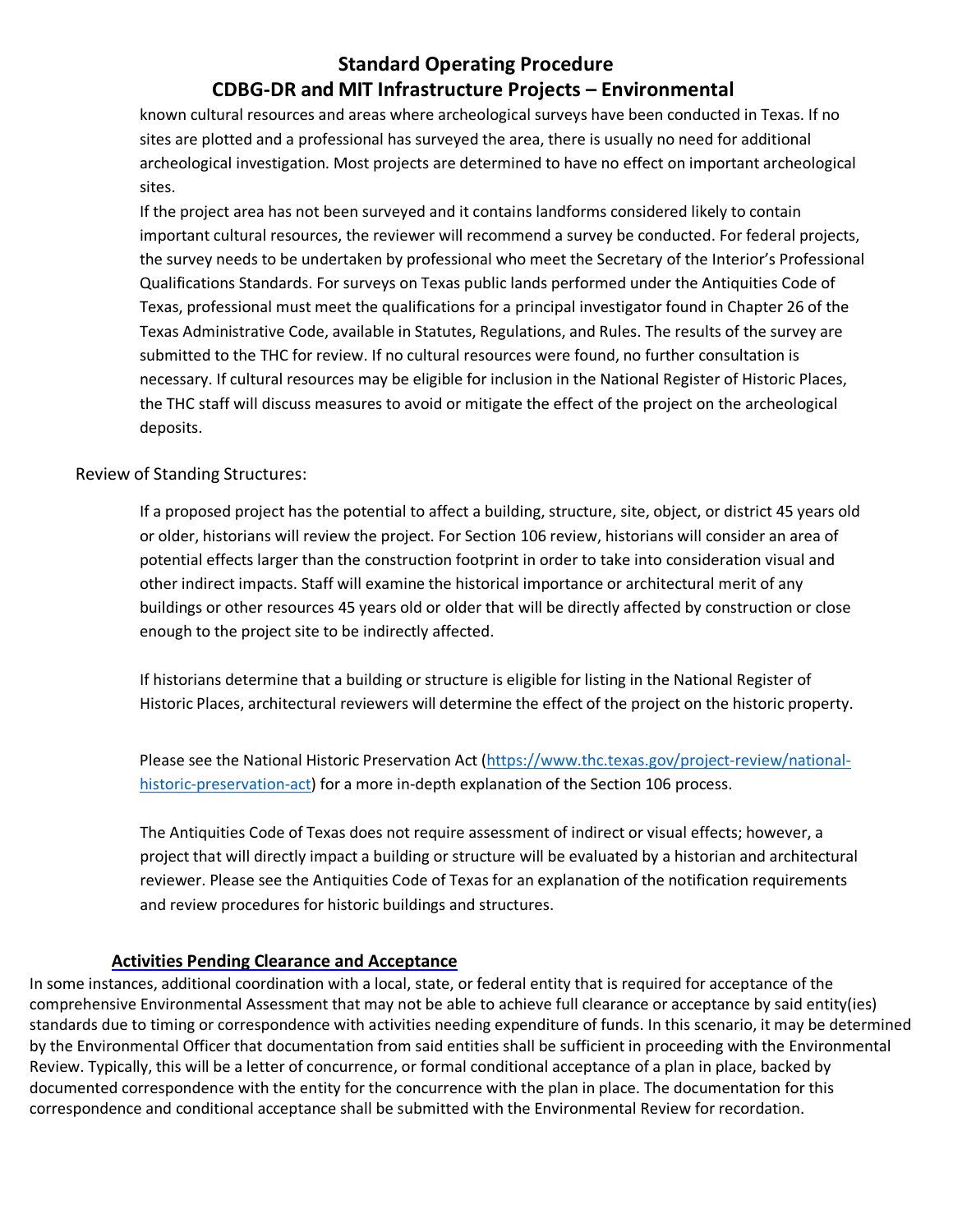known cultural resources and areas where archeological surveys have been conducted in Texas. If no sites are plotted and a professional has surveyed the area, there is usually no need for additional archeological investigation. Most projects are determined to have no effect on important archeological sites.

If the project area has not been surveyed and it contains landforms considered likely to contain important cultural resources, the reviewer will recommend a survey be conducted. For federal projects, the survey needs to be undertaken by professional who meet the Secretary of the Interior's Professional Qualifications Standards. For surveys on Texas public lands performed under the Antiquities Code of Texas, professional must meet the qualifications for a principal investigator found in Chapter 26 of the Texas Administrative Code, available i[n Statutes, Regulations, and Rules. T](https://www.thc.texas.gov/project-review/statutes-regulations-rules)he results of the survey are submitted to the THC for review. If no cultural resources were found, no further consultation is necessary. If cultural resources may be eligible for inclusion in the National Register of Historic Places, the THC staff will discuss measures to avoid or mitigate the effect of the project on the archeological deposits.

Review of Standing Structures:

If a proposed project has the potential to affect a building, structure, site, object, or district 45 years old or older, historians will review the project. For Section 106 review, historians will consider an area of potential effects larger than the construction footprint in order to take into consideration visual and other indirect impacts. Staff will examine the historical importance or architectural merit of any buildings or other resources 45 years old or older that will be directly affected by construction or close enough to the project site to be indirectly affected.

If historians determine that a building or structure is eligible for listing in the National Register of Historic Places, architectural reviewers will determine the effect of the project on the historic property.

Please see the [National Historic Preservation Act \(https://www.thc.texas.gov/project-review/national](https://www.thc.texas.gov/project-review/national-historic-preservation-act)[historic-preservation-act\)](https://www.thc.texas.gov/project-review/national-historic-preservation-act) for a more in-depth explanation of the Section 106 process.

The Antiquities Code of Texas does not require assessment of indirect or visual effects; however, a project that will directly impact a building or structure will be evaluated by a historian and architectural reviewer. Please see the [Antiquities Code of Texas f](https://www.thc.texas.gov/project-review/antiquities-code-texas)or an explanation of the notification requirements and review procedures for historic buildings and structures.

#### **Activities Pending Clearance and Acceptance**

In some instances, additional coordination with a local, state, or federal entity that is required for acceptance of the comprehensive Environmental Assessment that may not be able to achieve full clearance or acceptance by said entity(ies) standards due to timing or correspondence with activities needing expenditure of funds. In this scenario, it may be determined by the Environmental Officer that documentation from said entities shall be sufficient in proceeding with the Environmental Review. Typically, this will be a letter of concurrence, or formal conditional acceptance of a plan in place, backed by documented correspondence with the entity for the concurrence with the plan in place. The documentation for this correspondence and conditional acceptance shall be submitted with the Environmental Review for recordation.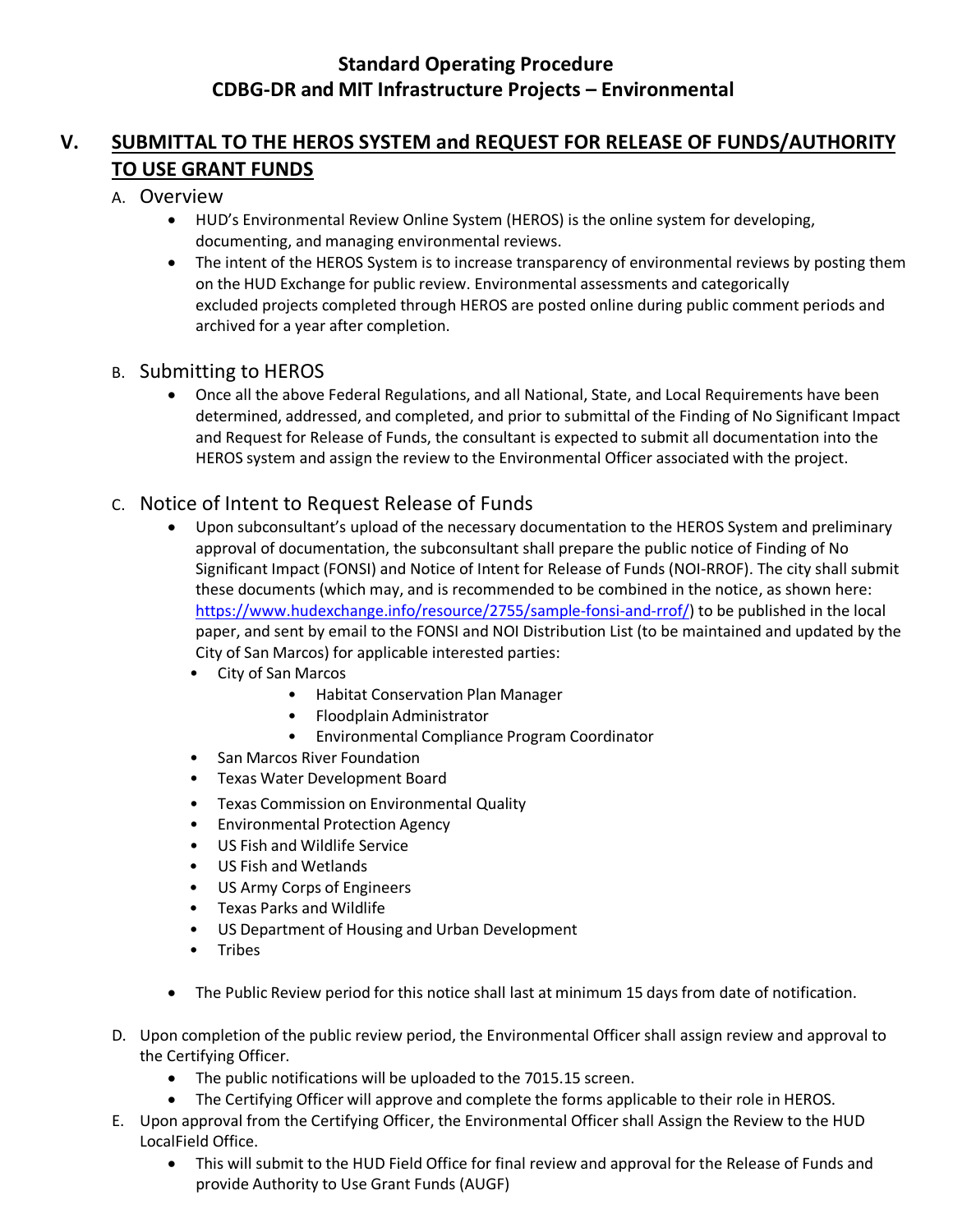# **V. SUBMITTAL TO THE HEROS SYSTEM and REQUEST FOR RELEASE OF FUNDS/AUTHORITY TO USE GRANT FUNDS**

#### A. Overview

- HUD's Environmental Review Online System (HEROS) is the online system for developing, documenting, and managing environmental reviews.
- The intent of the HEROS System is to increase transparency of environmental reviews by posting them on the HUD Exchange for public review. Environmental assessments and categorically excluded projects completed through HEROS are posted online during public comment periods and archived for a year after completion.

### B. Submitting to HEROS

• Once all the above Federal Regulations, and all National, State, and Local Requirements have been determined, addressed, and completed, and prior to submittal of the Finding of No Significant Impact and Request for Release of Funds, the consultant is expected to submit all documentation into the HEROS system and assign the review to the Environmental Officer associated with the project.

## C. Notice of Intent to Request Release of Funds

- Upon subconsultant's upload of the necessary documentation to the HEROS System and preliminary approval of documentation, the subconsultant shall prepare the public notice of Finding of No Significant Impact (FONSI) and Notice of Intent for Release of Funds (NOI-RROF). The city shall submit these documents (which may, and is recommended to be combined in the notice, as shown here: [https://www.hudexchange.info/resource/2755/sample-fonsi-and-rrof/\)](https://www.hudexchange.info/resource/2755/sample-fonsi-and-rrof/) to be published in the local paper, and sent by email to the FONSI and NOI Distribution List (to be maintained and updated by the City of San Marcos) for applicable interested parties:
	- City of San Marcos
		- Habitat Conservation Plan Manager
		- Floodplain Administrator
		- Environmental Compliance Program Coordinator
	- San Marcos River Foundation
	- Texas Water Development Board
	- Texas Commission on Environmental Quality
	- Environmental Protection Agency
	- US Fish and Wildlife Service
	- US Fish and Wetlands
	- US Army Corps of Engineers
	- Texas Parks and Wildlife
	- US Department of Housing and Urban Development
	- Tribes
- The Public Review period for this notice shall last at minimum 15 days from date of notification.
- D. Upon completion of the public review period, the Environmental Officer shall assign review and approval to the Certifying Officer.
	- The public notifications will be uploaded to the 7015.15 screen.
	- The Certifying Officer will approve and complete the forms applicable to their role in HEROS.
- E. Upon approval from the Certifying Officer, the Environmental Officer shall Assign the Review to the HUD LocalField Office.
	- This will submit to the HUD Field Office for final review and approval for the Release of Funds and provide Authority to Use Grant Funds (AUGF)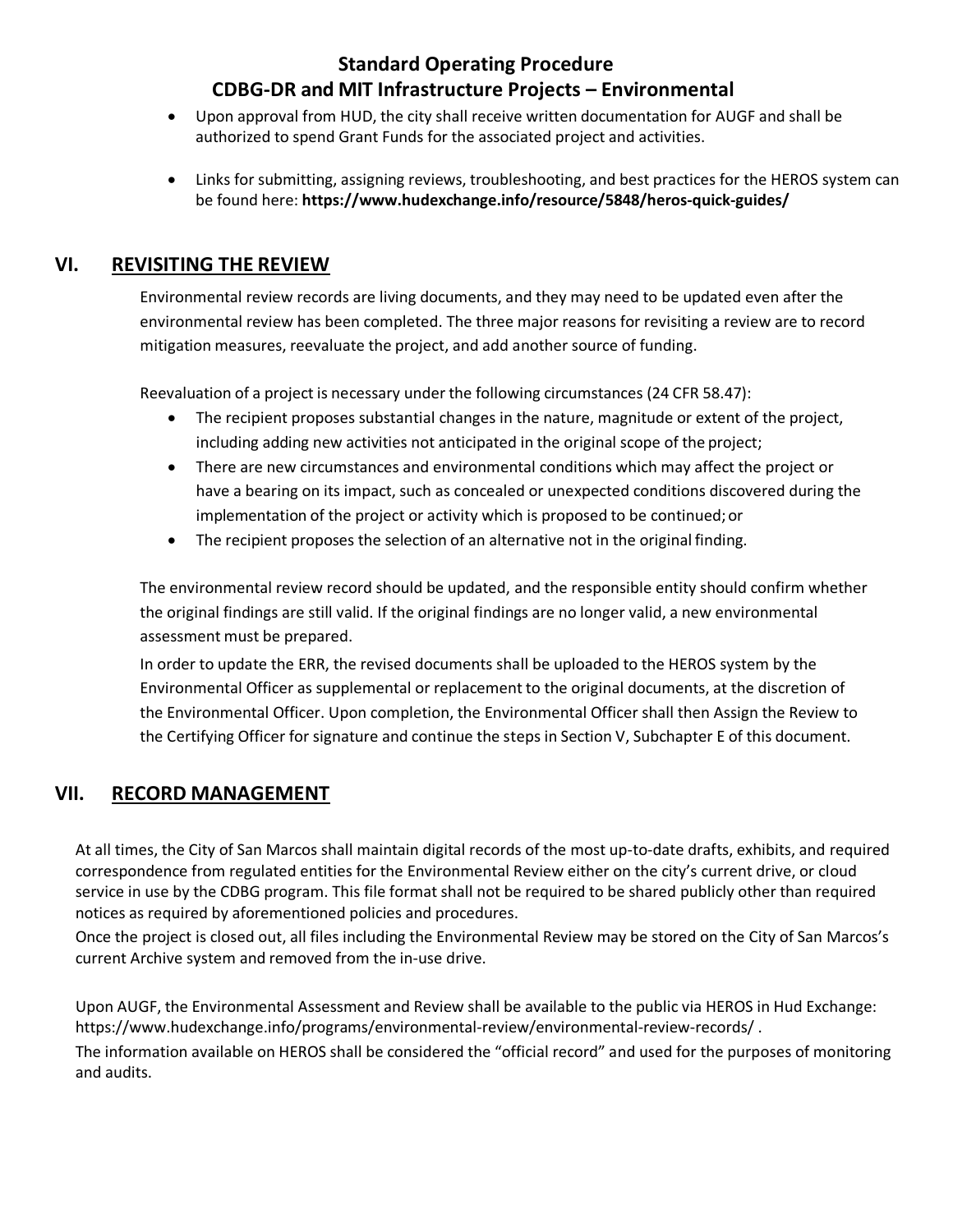- Upon approval from HUD, the city shall receive written documentation for AUGF and shall be authorized to spend Grant Funds for the associated project and activities.
- Links for submitting, assigning reviews, troubleshooting, and best practices for the HEROS system can be found here: **<https://www.hudexchange.info/resource/5848/heros-quick-guides/>**

## <span id="page-13-0"></span>**VI. REVISITING THE REVIEW**

Environmental review records are living documents, and they may need to be updated even after the environmental review has been completed. The three major reasons for revisiting a review are to record mitigation measures, reevaluate the project, and add another source of funding.

Reevaluation of a project is necessary under the following circumstances (24 CFR [58.47\)](http://www.gpo.gov/fdsys/pkg/CFR-2014-title24-vol1/pdf/CFR-2014-title24-vol1-sec58-47.pdf):

- The recipient proposes substantial changes in the nature, magnitude or extent of the project, including adding new activities not anticipated in the original scope of the project;
- There are new circumstances and environmental conditions which may affect the project or have a bearing on its impact, such as concealed or unexpected conditions discovered during the implementation of the project or activity which is proposed to be continued;or
- The recipient proposes the selection of an alternative not in the original finding.

The environmental review record should be updated, and the responsible entity should confirm whether the original findings are still valid. If the original findings are no longer valid, a new environmental assessment must be prepared.

In order to update the ERR, the revised documents shall be uploaded to the HEROS system by the Environmental Officer as supplemental or replacement to the original documents, at the discretion of the Environmental Officer. Upon completion, the Environmental Officer shall then Assign the Review to the Certifying Officer for signature and continue the steps in Section V, Subchapter E of this document.

# <span id="page-13-1"></span>**VII. RECORD MANAGEMENT**

At all times, the City of San Marcos shall maintain digital records of the most up-to-date drafts, exhibits, and required correspondence from regulated entities for the Environmental Review either on the city's current drive, or cloud service in use by the CDBG program. This file format shall not be required to be shared publicly other than required notices as required by aforementioned policies and procedures.

Once the project is closed out, all files including the Environmental Review may be stored on the City of San Marcos's current Archive system and removed from the in-use drive.

Upon AUGF, the Environmental Assessment and Review shall be available to the public via HEROS in Hud Exchange: https:/[/www.hudexchange.info/programs/environmental-review/environmental-review-records/](http://www.hudexchange.info/programs/environmental-review/environmental-review-records/) .

The information available on HEROS shall be considered the "official record" and used for the purposes of monitoring and audits.